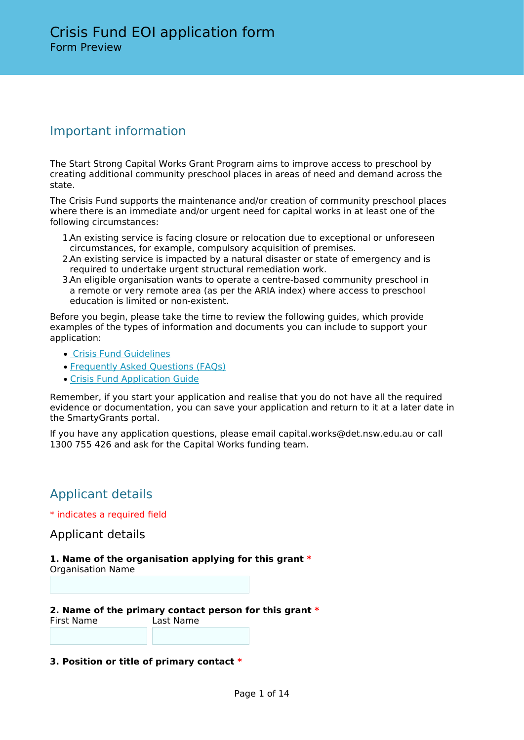# Important information

The Start Strong Capital Works Grant Program aims to improve access to preschool by creating additional community preschool places in areas of need and demand across the state.

The Crisis Fund supports the maintenance and/or creation of community preschool places where there is an immediate and/or urgent need for capital works in at least one of the following circumstances:

- 1.An existing service is facing closure or relocation due to exceptional or unforeseen circumstances, for example, compulsory acquisition of premises.
- 2.An existing service is impacted by a natural disaster or state of emergency and is required to undertake urgent structural remediation work.
- 3.An eligible organisation wants to operate a centre-based community preschool in a remote or very remote area (as per the ARIA index) where access to preschool education is limited or non-existent.

Before you begin, please take the time to review the following guides, which provide examples of the types of information and documents you can include to support your application:

- • [Crisis Fund Guidelines](https://education.nsw.gov.au/early-childhood-education/operating-an-early-childhood-education-service/grants-and-funded-programs/capital-works-grants/crisis-fund/fund-guidelines)
- [Frequently Asked Questions \(FAQs\)](https://education.nsw.gov.au/early-childhood-education/operating-an-early-childhood-education-service/grants-and-funded-programs/capital-works-grants/faqs-2021)
- [Crisis Fund Application Guide](https://education.nsw.gov.au/early-childhood-education/operating-an-early-childhood-education-service/grants-and-funded-programs/capital-works-grants/crisis-fund/application-guide)

Remember, if you start your application and realise that you do not have all the required evidence or documentation, you can save your application and return to it at a later date in the SmartyGrants portal.

If you have any application questions, please email capital.works@det.nsw.edu.au or call 1300 755 426 and ask for the Capital Works funding team.

# Applicant details

\* indicates a required field

Applicant details

## **1. Name of the organisation applying for this grant \***

Organisation Name

**2. Name of the primary contact person for this grant \*** First Name Last Name

## **3. Position or title of primary contact \***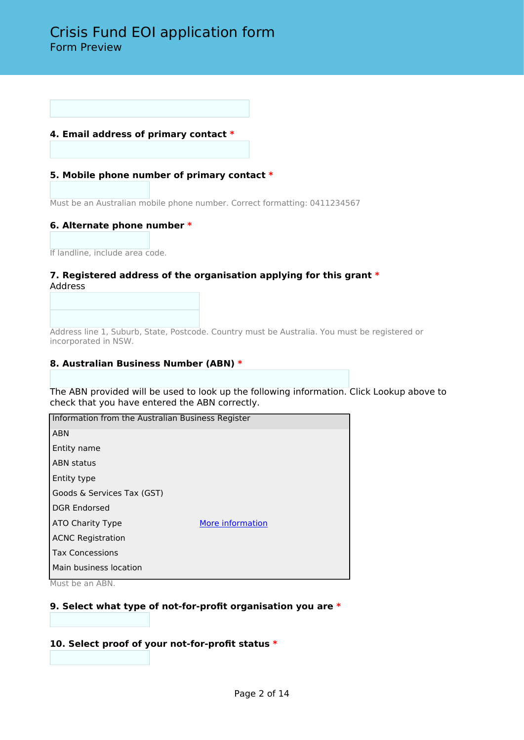## **4. Email address of primary contact \***

## **5. Mobile phone number of primary contact \***

Must be an Australian mobile phone number. Correct formatting: 0411234567

## **6. Alternate phone number \***

If landline, include area code.

## **7. Registered address of the organisation applying for this grant \*** Address

Address line 1, Suburb, State, Postcode. Country must be Australia. You must be registered or incorporated in NSW.

## **8. Australian Business Number (ABN) \***

The ABN provided will be used to look up the following information. Click Lookup above to check that you have entered the ABN correctly.

| Information from the Australian Business Register |                  |  |
|---------------------------------------------------|------------------|--|
| <b>ABN</b>                                        |                  |  |
| Entity name                                       |                  |  |
| <b>ABN</b> status                                 |                  |  |
| Entity type                                       |                  |  |
| Goods & Services Tax (GST)                        |                  |  |
| <b>DGR Endorsed</b>                               |                  |  |
| ATO Charity Type                                  | More information |  |
| <b>ACNC Registration</b>                          |                  |  |
| <b>Tax Concessions</b>                            |                  |  |
| Main business location                            |                  |  |

Must be an ABN.

## **9. Select what type of not-for-profit organisation you are \***

## **10. Select proof of your not-for-profit status \***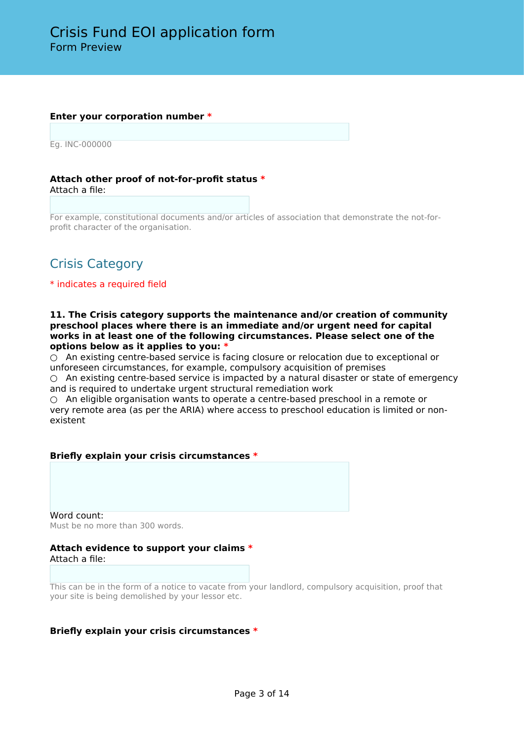#### **Enter your corporation number \***

Eg. INC-000000

**Attach other proof of not-for-profit status \*** Attach a file:

For example, constitutional documents and/or articles of association that demonstrate the not-forprofit character of the organisation.

# Crisis Category

## \* indicates a required field

**11. The Crisis category supports the maintenance and/or creation of community preschool places where there is an immediate and/or urgent need for capital works in at least one of the following circumstances. Please select one of the options below as it applies to you: \***

 $\bigcirc$  An existing centre-based service is facing closure or relocation due to exceptional or unforeseen circumstances, for example, compulsory acquisition of premises

 $\circ$  An existing centre-based service is impacted by a natural disaster or state of emergency and is required to undertake urgent structural remediation work

 $\circ$  An eligible organisation wants to operate a centre-based preschool in a remote or very remote area (as per the ARIA) where access to preschool education is limited or nonexistent

## **Briefly explain your crisis circumstances \***

Word count: Must be no more than 300 words.

## **Attach evidence to support your claims \*** Attach a file:

This can be in the form of a notice to vacate from your landlord, compulsory acquisition, proof that your site is being demolished by your lessor etc.

## **Briefly explain your crisis circumstances \***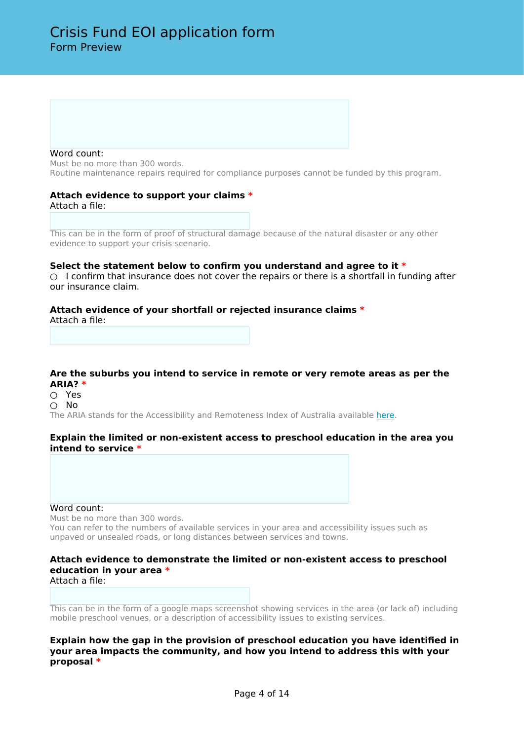#### Word count:

Must be no more than 300 words. Routine maintenance repairs required for compliance purposes cannot be funded by this program.

#### **Attach evidence to support your claims \*** Attach a file:

This can be in the form of proof of structural damage because of the natural disaster or any other evidence to support your crisis scenario.

#### **Select the statement below to confirm you understand and agree to it \***

 $\bigcirc$  I confirm that insurance does not cover the repairs or there is a shortfall in funding after our insurance claim.

#### **Attach evidence of your shortfall or rejected insurance claims \***

Attach a file:

## **Are the suburbs you intend to service in remote or very remote areas as per the ARIA? \***

○ Yes ○ No

The ARIA stands for the Accessibility and Remoteness Index of Australia available [here](https://www.abs.gov.au/websitedbs/d3310114.nsf/home/remoteness+structure).

#### **Explain the limited or non-existent access to preschool education in the area you intend to service \***

#### Word count:

Must be no more than 300 words.

You can refer to the numbers of available services in your area and accessibility issues such as unpaved or unsealed roads, or long distances between services and towns.

## **Attach evidence to demonstrate the limited or non-existent access to preschool education in your area \***

Attach a file:

This can be in the form of a google maps screenshot showing services in the area (or lack of) including mobile preschool venues, or a description of accessibility issues to existing services.

**Explain how the gap in the provision of preschool education you have identified in your area impacts the community, and how you intend to address this with your proposal \***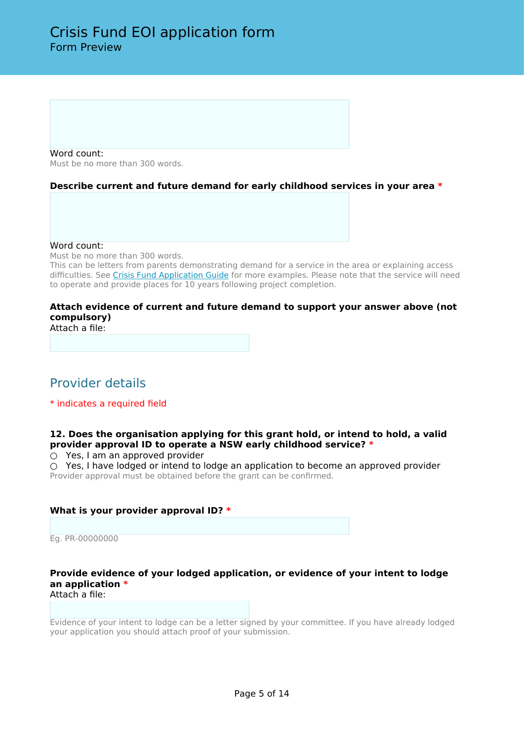Word count: Must be no more than 300 words.

## **Describe current and future demand for early childhood services in your area \***

Word count:

Must be no more than 300 words.

This can be letters from parents demonstrating demand for a service in the area or explaining access difficulties. See [Crisis Fund Application Guide](https://education.nsw.gov.au/early-childhood-education/operating-an-early-childhood-education-service/grants-and-funded-programs/capital-works-grants/crisis-fund/application-guide) for more examples. Please note that the service will need to operate and provide places for 10 years following project completion.

## **Attach evidence of current and future demand to support your answer above (not compulsory)**

Attach a file:

# Provider details

\* indicates a required field

## **12. Does the organisation applying for this grant hold, or intend to hold, a valid provider approval ID to operate a NSW early childhood service? \***

 $\circ$  Yes, I am an approved provider

○ Yes, I have lodged or intend to lodge an application to become an approved provider Provider approval must be obtained before the grant can be confirmed.

## **What is your provider approval ID? \***

Eg. PR-00000000

#### **Provide evidence of your lodged application, or evidence of your intent to lodge an application \*** Attach a file:

Evidence of your intent to lodge can be a letter signed by your committee. If you have already lodged your application you should attach proof of your submission.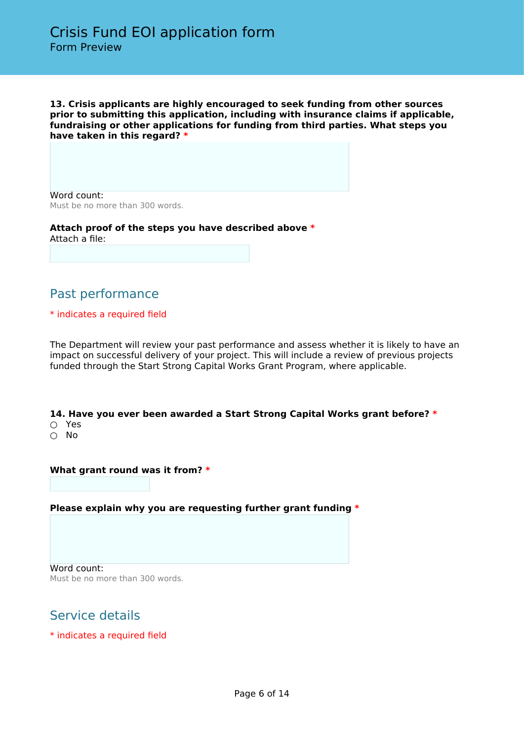**13. Crisis applicants are highly encouraged to seek funding from other sources prior to submitting this application, including with insurance claims if applicable, fundraising or other applications for funding from third parties. What steps you have taken in this regard? \***

Word count: Must be no more than 300 words.

**Attach proof of the steps you have described above \*** Attach a file:

# Past performance

## \* indicates a required field

The Department will review your past performance and assess whether it is likely to have an impact on successful delivery of your project. This will include a review of previous projects funded through the Start Strong Capital Works Grant Program, where applicable.

**14. Have you ever been awarded a Start Strong Capital Works grant before? \***

- Yes
- No

## **What grant round was it from? \***

## **Please explain why you are requesting further grant funding \***

Word count: Must be no more than 300 words.

# Service details

\* indicates a required field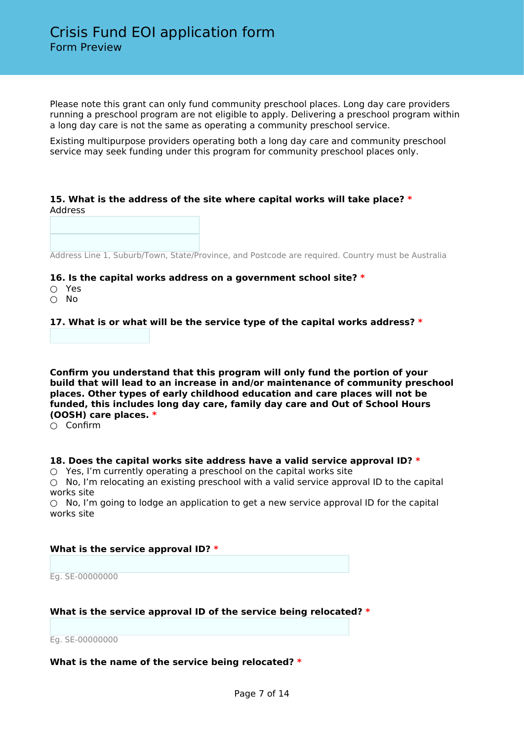Please note this grant can only fund community preschool places. Long day care providers running a preschool program are not eligible to apply. Delivering a preschool program within a long day care is not the same as operating a community preschool service.

Existing multipurpose providers operating both a long day care and community preschool service may seek funding under this program for community preschool places only.

## **15. What is the address of the site where capital works will take place? \*** Address

Address Line 1, Suburb/Town, State/Province, and Postcode are required. Country must be Australia

#### **16. Is the capital works address on a government school site? \***

- Yes
- No

**17. What is or what will be the service type of the capital works address? \***

**Confirm you understand that this program will only fund the portion of your build that will lead to an increase in and/or maintenance of community preschool places. Other types of early childhood education and care places will not be funded, this includes long day care, family day care and Out of School Hours (OOSH) care places. \***

○ Confirm

## **18. Does the capital works site address have a valid service approval ID? \***

 $\circ$  Yes, I'm currently operating a preschool on the capital works site

○ No, I'm relocating an existing preschool with a valid service approval ID to the capital works site

 $\circ$  No, I'm going to lodge an application to get a new service approval ID for the capital works site

## **What is the service approval ID? \***

Eg. SE-00000000

## **What is the service approval ID of the service being relocated? \***

Eg. SE-00000000

## **What is the name of the service being relocated? \***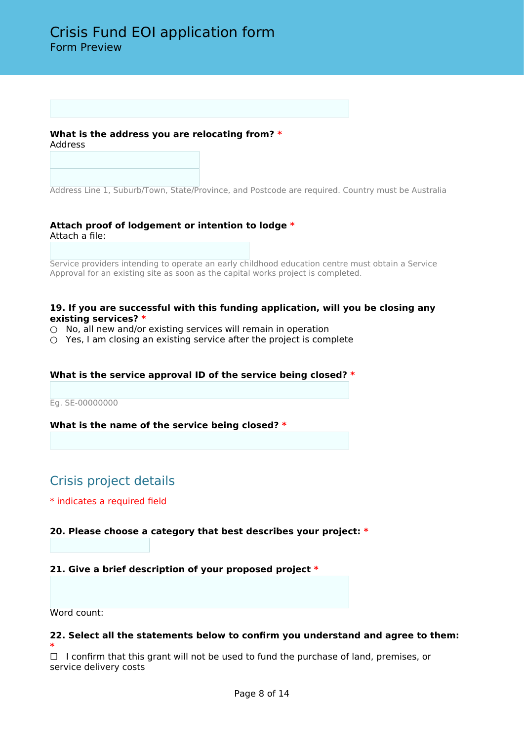## **What is the address you are relocating from? \*** Address

Address Line 1, Suburb/Town, State/Province, and Postcode are required. Country must be Australia

## **Attach proof of lodgement or intention to lodge \*** Attach a file:

Service providers intending to operate an early childhood education centre must obtain a Service Approval for an existing site as soon as the capital works project is completed.

## **19. If you are successful with this funding application, will you be closing any existing services? \***

- $\circ$  No, all new and/or existing services will remain in operation
- $\circ$  Yes, I am closing an existing service after the project is complete

## **What is the service approval ID of the service being closed? \***

Eg. SE-00000000

## **What is the name of the service being closed? \***

# Crisis project details

#### \* indicates a required field

## **20. Please choose a category that best describes your project: \***

## **21. Give a brief description of your proposed project \***

Word count:

## **22. Select all the statements below to confirm you understand and agree to them:**

**\***  $\Box$  I confirm that this grant will not be used to fund the purchase of land, premises, or service delivery costs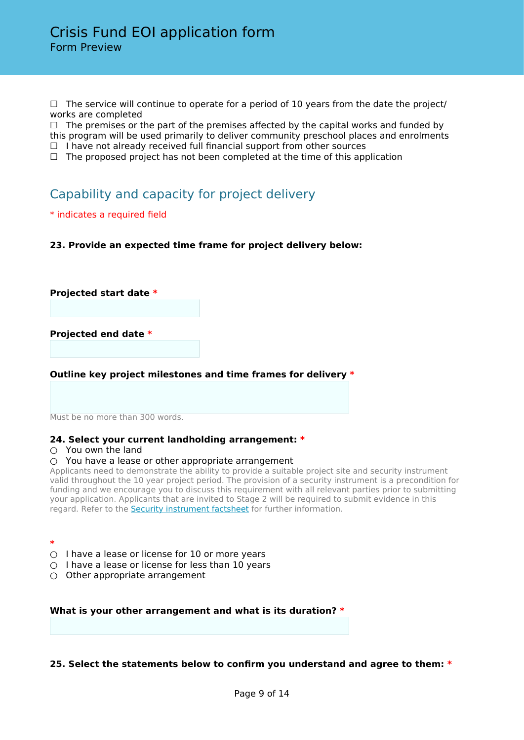$\Box$  The service will continue to operate for a period of 10 years from the date the project/ works are completed

 $\Box$  The premises or the part of the premises affected by the capital works and funded by this program will be used primarily to deliver community preschool places and enrolments  $\Box$  I have not already received full financial support from other sources

 $\Box$  The proposed project has not been completed at the time of this application

# Capability and capacity for project delivery

\* indicates a required field

**23. Provide an expected time frame for project delivery below:**

**Projected start date \***

**Projected end date \***

**Outline key project milestones and time frames for delivery \***

Must be no more than 300 words.

## **24. Select your current landholding arrangement: \***

#### $\bigcirc$  You own the land

#### $\circ$  You have a lease or other appropriate arrangement

Applicants need to demonstrate the ability to provide a suitable project site and security instrument valid throughout the 10 year project period. The provision of a security instrument is a precondition for funding and we encourage you to discuss this requirement with all relevant parties prior to submitting your application. Applicants that are invited to Stage 2 will be required to submit evidence in this regard. Refer to the [Security instrument factsheet](https://education.nsw.gov.au/early-childhood-education/operating-an-early-childhood-education-service/grants-and-funded-programs/capital-works-grants/useful-information) for further information.

**\***

- $\circ$  I have a lease or license for 10 or more years
- $\bigcirc$  I have a lease or license for less than 10 years
- $\bigcirc$  Other appropriate arrangement

## **What is your other arrangement and what is its duration? \***

## **25. Select the statements below to confirm you understand and agree to them: \***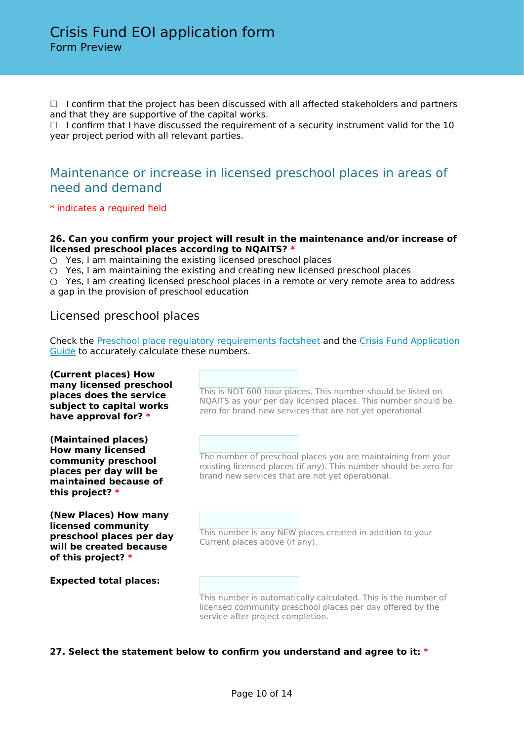□ I confirm that the project has been discussed with all affected stakeholders and partners and that they are supportive of the capital works.

 $\Box$  I confirm that I have discussed the requirement of a security instrument valid for the 10 year project period with all relevant parties.

## Maintenance or increase in licensed preschool places in areas of need and demand

\* indicates a required field

## **26. Can you confirm your project will result in the maintenance and/or increase of licensed preschool places according to NQAITS? \***

 $\circ$  Yes, I am maintaining the existing licensed preschool places

○ Yes, I am maintaining the existing and creating new licensed preschool places

 $\bigcirc$  Yes, I am creating licensed preschool places in a remote or very remote area to address a gap in the provision of preschool education

## Licensed preschool places

Check the [Preschool place regulatory requirements factsheet](https://education.nsw.gov.au/early-childhood-education/operating-an-early-childhood-education-service/grants-and-funded-programs/capital-works-grants/useful-information) and the [Crisis Fund Application](https://education.nsw.gov.au/early-childhood-education/operating-an-early-childhood-education-service/grants-and-funded-programs/capital-works-grants/crisis-fund/application-guide) [Guide](https://education.nsw.gov.au/early-childhood-education/operating-an-early-childhood-education-service/grants-and-funded-programs/capital-works-grants/crisis-fund/application-guide) to accurately calculate these numbers.

#### **(Current places) How many licensed preschool places does the service subject to capital works have approval for? \*** This is NOT 600 hour places. This number should be listed on NQAITS as your per day licensed places. This number should be zero for brand new services that are not yet operational. **(Maintained places) How many licensed community preschool places per day will be maintained because of this project? \*** The number of preschool places you are maintaining from your existing licensed places (if any). This number should be zero for brand new services that are not yet operational. **(New Places) How many licensed community preschool places per day will be created because of this project? \*** This number is any NEW places created in addition to your Current places above (if any). **Expected total places:** This number is automatically calculated. This is the number of licensed community preschool places per day offered by the

## **27. Select the statement below to confirm you understand and agree to it: \***

service after project completion.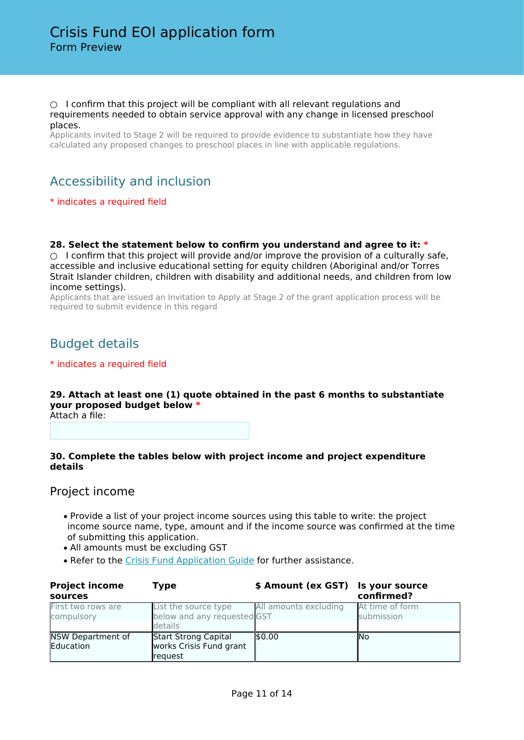#### $\circ$  I confirm that this project will be compliant with all relevant regulations and requirements needed to obtain service approval with any change in licensed preschool places.

Applicants invited to Stage 2 will be required to provide evidence to substantiate how they have calculated any proposed changes to preschool places in line with applicable regulations.

# Accessibility and inclusion

## \* indicates a required field

**28. Select the statement below to confirm you understand and agree to it: \*** ○ I confirm that this project will provide and/or improve the provision of a culturally safe, accessible and inclusive educational setting for equity children (Aboriginal and/or Torres Strait Islander children, children with disability and additional needs, and children from low income settings).

Applicants that are issued an Invitation to Apply at Stage 2 of the grant application process will be required to submit evidence in this regard

## Budget details

## \* indicates a required field

## **29. Attach at least one (1) quote obtained in the past 6 months to substantiate your proposed budget below \***

Attach a file:

## **30. Complete the tables below with project income and project expenditure details**

## Project income

- Provide a list of your project income sources using this table to write: the project income source name, type, amount and if the income source was confirmed at the time of submitting this application.
- All amounts must be excluding GST
- Refer to the [Crisis Fund Application Guide](https://education.nsw.gov.au/early-childhood-education/operating-an-early-childhood-education-service/grants-and-funded-programs/capital-works-grants/crisis-fund/application-guide) for further assistance.

| <b>Project income</b><br>sources      | Type                                                           | \$ Amount (ex GST) Is your source | confirmed?                    |
|---------------------------------------|----------------------------------------------------------------|-----------------------------------|-------------------------------|
| First two rows are<br>compulsory      | List the source type<br>below and any requested GST<br>details | All amounts excluding             | At time of form<br>submission |
| NSW Department of<br><b>Education</b> | Start Strong Capital<br>works Crisis Fund grant<br>request     | \$0.00                            | <b>INo</b>                    |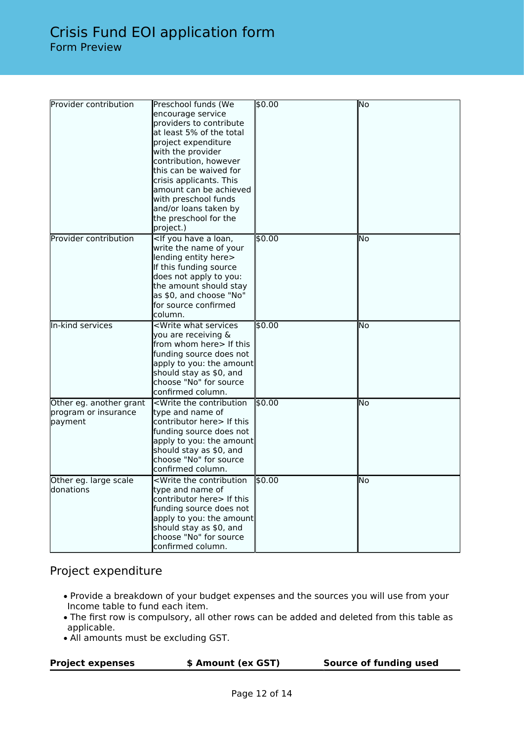| Provider contribution                                      | Preschool funds (We<br>encourage service<br>providers to contribute<br>at least 5% of the total<br>project expenditure<br>with the provider<br>contribution, however<br>this can be waived for<br>crisis applicants. This<br>amount can be achieved<br>with preschool funds<br>and/or loans taken by<br>the preschool for the<br>project.) | \$0.00 | No   |
|------------------------------------------------------------|--------------------------------------------------------------------------------------------------------------------------------------------------------------------------------------------------------------------------------------------------------------------------------------------------------------------------------------------|--------|------|
| Provider contribution                                      | <if a="" have="" loan,<br="" you="">write the name of your<br/>lending entity here&gt;<br/>If this funding source<br/>does not apply to you:<br/>the amount should stay<br/>as \$0, and choose "No"<br/>lfor source confirmed<br/>column.</if>                                                                                             | \$0.00 | lNo  |
| In-kind services                                           | <write services<br="" what="">you are receiving &amp;<br/>from whom here&gt; If this<br/>funding source does not<br/>apply to you: the amount<br/>should stay as \$0, and<br/>choose "No" for source<br/>lconfirmed column.</write>                                                                                                        | 50.00  | lNo  |
| Other eg. another grant<br>program or insurance<br>payment | <write contribution<br="" the="">type and name of<br/> contributor here&gt; If this<br/>funding source does not<br/>apply to you: the amount<br/>should stay as \$0, and<br/>choose "No" for source<br/>confirmed column.</write>                                                                                                          | \$0.00 | lNo. |
| Other eg. large scale<br>ldonations                        | <write contribution<br="" the="">type and name of<br/>contributor here&gt; If this<br/>funding source does not<br/>apply to you: the amount<br/>should stay as \$0, and<br/>choose "No" for source<br/>confirmed column.</write>                                                                                                           | 50.00  | lNo  |

## Project expenditure

- Provide a breakdown of your budget expenses and the sources you will use from your Income table to fund each item.
- The first row is compulsory, all other rows can be added and deleted from this table as applicable.
- All amounts must be excluding GST.

| <b>Project expenses</b> | \$ Amount (ex GST) | Source of funding used |
|-------------------------|--------------------|------------------------|
|                         |                    |                        |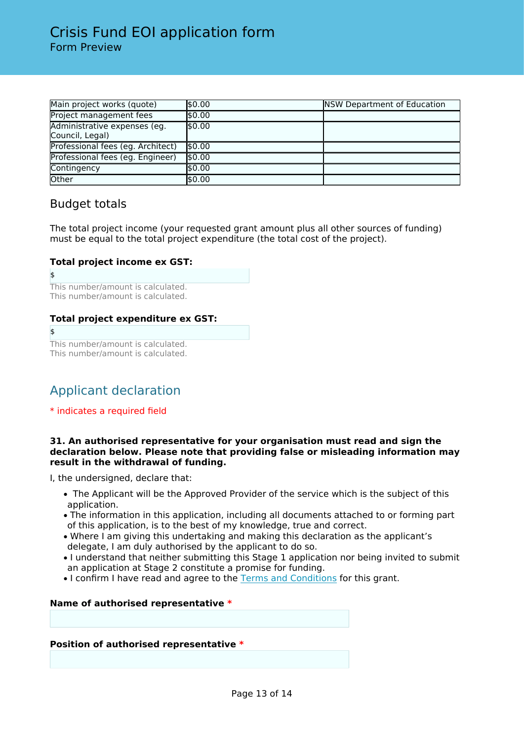| Main project works (quote)                      | \$0.00 | <b>NSW Department of Education</b> |
|-------------------------------------------------|--------|------------------------------------|
| Project management fees                         | \$0.00 |                                    |
| Administrative expenses (eg.<br>Council, Legal) | 50.00  |                                    |
| Professional fees (eg. Architect)               | 50.00  |                                    |
| Professional fees (eg. Engineer)                | \$0.00 |                                    |
| Contingency                                     | \$0.00 |                                    |
| Other                                           | \$0.00 |                                    |

## Budget totals

The total project income (your requested grant amount plus all other sources of funding) must be equal to the total project expenditure (the total cost of the project).

## **Total project income ex GST:**

```
$
This number/amount is calculated.
This number/amount is calculated.
```
## **Total project expenditure ex GST:**

 $\ddot{\bm{z}}$ This number/amount is calculated. This number/amount is calculated.

# Applicant declaration

\* indicates a required field

## **31. An authorised representative for your organisation must read and sign the declaration below. Please note that providing false or misleading information may result in the withdrawal of funding.**

I, the undersigned, declare that:

- The Applicant will be the Approved Provider of the service which is the subject of this application.
- The information in this application, including all documents attached to or forming part of this application, is to the best of my knowledge, true and correct.
- Where I am giving this undertaking and making this declaration as the applicant's delegate, I am duly authorised by the applicant to do so.
- I understand that neither submitting this Stage 1 application nor being invited to submit an application at Stage 2 constitute a promise for funding.
- I confirm I have read and agree to the [Terms and Conditions](https://education.nsw.gov.au/early-childhood-education/operating-an-early-childhood-education-service/grants-and-funded-programs/capital-works-grants/useful-information) for this grant.

## **Name of authorised representative \***

## **Position of authorised representative \***